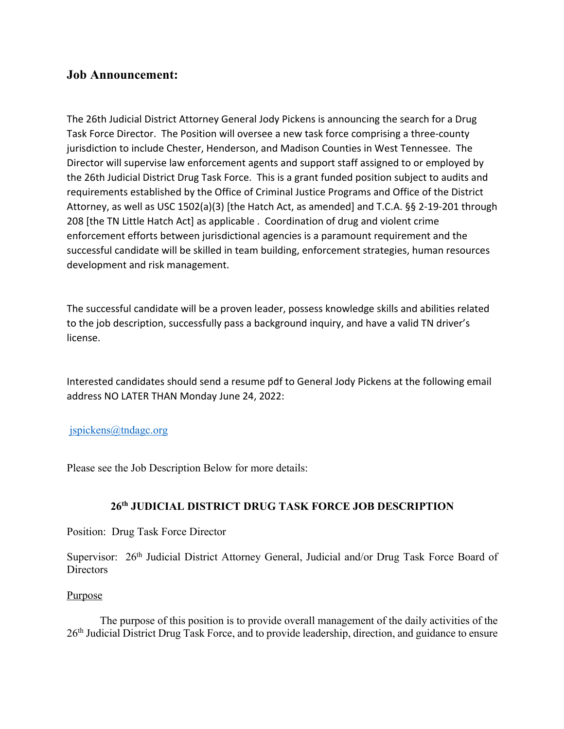# **Job Announcement:**

The 26th Judicial District Attorney General Jody Pickens is announcing the search for a Drug Task Force Director. The Position will oversee a new task force comprising a three-county jurisdiction to include Chester, Henderson, and Madison Counties in West Tennessee. The Director will supervise law enforcement agents and support staff assigned to or employed by the 26th Judicial District Drug Task Force. This is a grant funded position subject to audits and requirements established by the Office of Criminal Justice Programs and Office of the District Attorney, as well as USC 1502(a)(3) [the Hatch Act, as amended] and T.C.A. §§ 2-19-201 through 208 [the TN Little Hatch Act] as applicable . Coordination of drug and violent crime enforcement efforts between jurisdictional agencies is a paramount requirement and the successful candidate will be skilled in team building, enforcement strategies, human resources development and risk management.

The successful candidate will be a proven leader, possess knowledge skills and abilities related to the job description, successfully pass a background inquiry, and have a valid TN driver's license.

Interested candidates should send a resume pdf to General Jody Pickens at the following email address NO LATER THAN Monday June 24, 2022:

#### jspickens@tndagc.org

Please see the Job Description Below for more details:

# **26th JUDICIAL DISTRICT DRUG TASK FORCE JOB DESCRIPTION**

Position: Drug Task Force Director

Supervisor: 26<sup>th</sup> Judicial District Attorney General, Judicial and/or Drug Task Force Board of **Directors** 

#### Purpose

The purpose of this position is to provide overall management of the daily activities of the 26<sup>th</sup> Judicial District Drug Task Force, and to provide leadership, direction, and guidance to ensure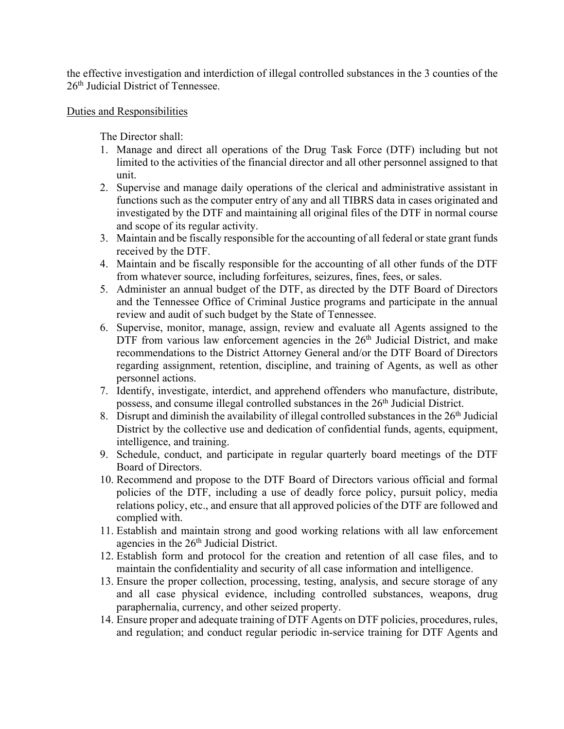the effective investigation and interdiction of illegal controlled substances in the 3 counties of the 26th Judicial District of Tennessee.

### Duties and Responsibilities

The Director shall:

- 1. Manage and direct all operations of the Drug Task Force (DTF) including but not limited to the activities of the financial director and all other personnel assigned to that unit.
- 2. Supervise and manage daily operations of the clerical and administrative assistant in functions such as the computer entry of any and all TIBRS data in cases originated and investigated by the DTF and maintaining all original files of the DTF in normal course and scope of its regular activity.
- 3. Maintain and be fiscally responsible for the accounting of all federal or state grant funds received by the DTF.
- 4. Maintain and be fiscally responsible for the accounting of all other funds of the DTF from whatever source, including forfeitures, seizures, fines, fees, or sales.
- 5. Administer an annual budget of the DTF, as directed by the DTF Board of Directors and the Tennessee Office of Criminal Justice programs and participate in the annual review and audit of such budget by the State of Tennessee.
- 6. Supervise, monitor, manage, assign, review and evaluate all Agents assigned to the DTF from various law enforcement agencies in the 26<sup>th</sup> Judicial District, and make recommendations to the District Attorney General and/or the DTF Board of Directors regarding assignment, retention, discipline, and training of Agents, as well as other personnel actions.
- 7. Identify, investigate, interdict, and apprehend offenders who manufacture, distribute, possess, and consume illegal controlled substances in the 26<sup>th</sup> Judicial District.
- 8. Disrupt and diminish the availability of illegal controlled substances in the  $26<sup>th</sup>$  Judicial District by the collective use and dedication of confidential funds, agents, equipment, intelligence, and training.
- 9. Schedule, conduct, and participate in regular quarterly board meetings of the DTF Board of Directors.
- 10. Recommend and propose to the DTF Board of Directors various official and formal policies of the DTF, including a use of deadly force policy, pursuit policy, media relations policy, etc., and ensure that all approved policies of the DTF are followed and complied with.
- 11. Establish and maintain strong and good working relations with all law enforcement agencies in the 26<sup>th</sup> Judicial District.
- 12. Establish form and protocol for the creation and retention of all case files, and to maintain the confidentiality and security of all case information and intelligence.
- 13. Ensure the proper collection, processing, testing, analysis, and secure storage of any and all case physical evidence, including controlled substances, weapons, drug paraphernalia, currency, and other seized property.
- 14. Ensure proper and adequate training of DTF Agents on DTF policies, procedures, rules, and regulation; and conduct regular periodic in-service training for DTF Agents and